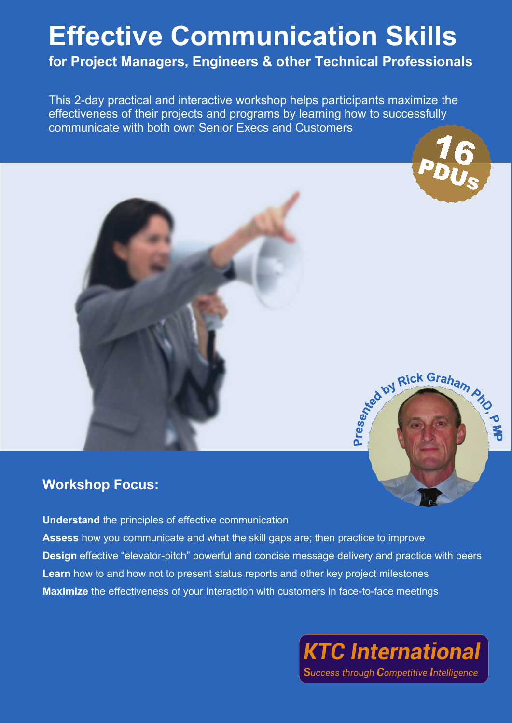## **Effective Communication Skills for Project Managers, Engineers & other Technical Professionals**

This 2-day practical and interactive workshop helps participants maximize the effectiveness of their projects and programs by learning how to successfully communicate with both own Senior Execs and Customers



Rick Graham And



## **Workshop Focus:**

**Understand** the principles of effective communication **Assess** how you communicate and what the skill gaps are; then practice to improve **Design** effective "elevator-pitch" powerful and concise message delivery and practice with peers **Learn** how to and how not to present status reports and other key project milestones **Maximize** the effectiveness of your interaction with customers in face-to-face meetings

**KTC International** 

**Success through Competitive Intelligence**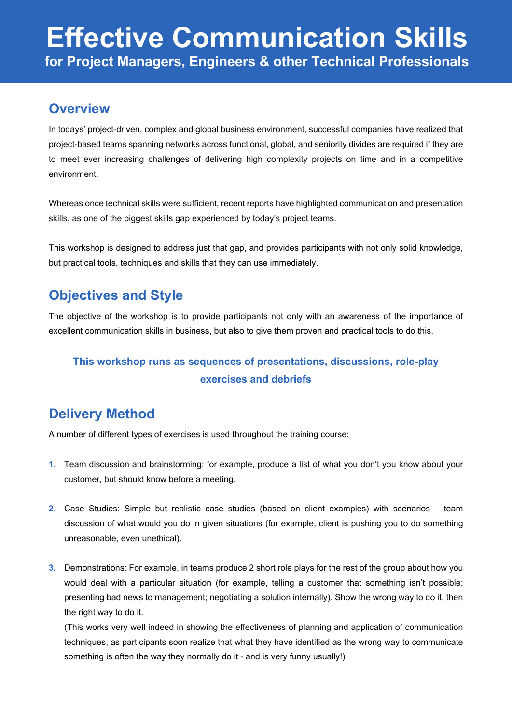## **Overview**

In todays' project-driven, complex and global business environment, successful companies have realized that project-based teams spanning networks across functional, global, and seniority divides are required if they are to meet ever increasing challenges of delivering high complexity projects on time and in a competitive environment.

Whereas once technical skills were sufficient, recent reports have highlighted communication and presentation skills, as one of the biggest skills gap experienced by today's project teams.

This workshop is designed to address just that gap, and provides participants with not only solid knowledge, but practical tools, techniques and skills that they can use immediately.

## **Objectives and Style**

The objective of the workshop is to provide participants not only with an awareness of the importance of excellent communication skills in business, but also to give them proven and practical tools to do this.

## **This workshop runs as sequences of presentations, discussions, role-play exercises and debriefs**

## **Delivery Method**

A number of different types of exercises is used throughout the training course:

- **1.** Team discussion and brainstorming: for example, produce a list of what you don't you know about your customer, but should know before a meeting.
- **2.** Case Studies: Simple but realistic case studies (based on client examples) with scenarios team discussion of what would you do in given situations (for example, client is pushing you to do something unreasonable, even unethical).
- **3.** Demonstrations: For example, in teams produce 2 short role plays for the rest of the group about how you would deal with a particular situation (for example, telling a customer that something isn't possible; presenting bad news to management; negotiating a solution internally). Show the wrong way to do it, then the right way to do it.

(This works very well indeed in showing the effectiveness of planning and application of communication techniques, as participants soon realize that what they have identified as the wrong way to communicate something is often the way they normally do it - and is very funny usually!)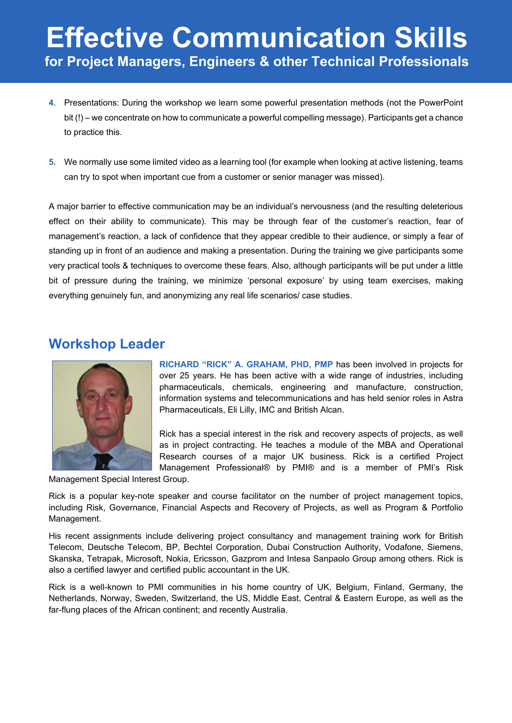# **Effective Communication Skills for Project Managers, Engineers & other Technical Professionals**

- **4.** Presentations: During the workshop we learn some powerful presentation methods (not the PowerPoint bit (!) – we concentrate on how to communicate a powerful compelling message). Participants get a chance to practice this.
- **5.** We normally use some limited video as a learning tool (for example when looking at active listening, teams can try to spot when important cue from a customer or senior manager was missed).

A major barrier to effective communication may be an individual's nervousness (and the resulting deleterious effect on their ability to communicate). This may be through fear of the customer's reaction, fear of management's reaction, a lack of confidence that they appear credible to their audience, or simply a fear of standing up in front of an audience and making a presentation. During the training we give participants some very practical tools & techniques to overcome these fears. Also, although participants will be put under a little bit of pressure during the training, we minimize 'personal exposure' by using team exercises, making everything genuinely fun, and anonymizing any real life scenarios/ case studies.

### **Workshop Leader**



**RICHARD "RICK" A. GRAHAM, PHD, PMP** has been involved in projects for over 25 years. He has been active with a wide range of industries, including pharmaceuticals, chemicals, engineering and manufacture, construction, information systems and telecommunications and has held senior roles in Astra Pharmaceuticals, Eli Lilly, IMC and British Alcan.

Rick has a special interest in the risk and recovery aspects of projects, as well as in project contracting. He teaches a module of the MBA and Operational Research courses of a major UK business. Rick is a certified Project Management Professional® by PMI® and is a member of PMI's Risk

Management Special Interest Group.

Rick is a popular key-note speaker and course facilitator on the number of project management topics, including Risk, Governance, Financial Aspects and Recovery of Projects, as well as Program & Portfolio Management.

His recent assignments include delivering project consultancy and management training work for British Telecom, Deutsche Telecom, BP, Bechtel Corporation, Dubai Construction Authority, Vodafone, Siemens, Skanska, Tetrapak, Microsoft, Nokia, Ericsson, Gazprom and Intesa Sanpaolo Group among others. Rick is also a certified lawyer and certified public accountant in the UK.

Rick is a well-known to PMI communities in his home country of UK, Belgium, Finland, Germany, the Netherlands, Norway, Sweden, Switzerland, the US, Middle East, Central & Eastern Europe, as well as the far-flung places of the African continent; and recently Australia.